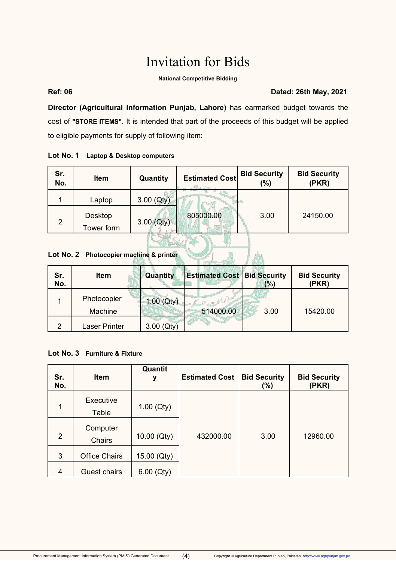# Invitation for Bids

#### **National Competitive Bidding**

#### **Ref: 06 Dated: 26th May, 2021**

**Director (Agricultural Information Punjab, Lahore)** has earmarked budget towards the cost of **"STORE ITEMS"**. It is intended that part of the proceeds of this budget will be applied to eligible payments for supply of following item:

#### **Lot No. 1 Laptop & Desktop computers**

| Sr.<br>No.                              | <b>Item</b>           | Quantity     | <b>Estimated Cost</b> | <b>Bid Security</b><br>$(\%)$ | <b>Bid Security</b><br>(PKR) |  |  |
|-----------------------------------------|-----------------------|--------------|-----------------------|-------------------------------|------------------------------|--|--|
|                                         | Laptop                | $3.00$ (Qty) |                       |                               |                              |  |  |
| $\overline{2}$                          | Desktop<br>Tower form | $3.00$ (Qty) | 805000.00             | 3.00                          | 24150.00                     |  |  |
| Lot No. 2 Photocopier machine & printer |                       |              |                       |                               |                              |  |  |

### **Lot No. 2 Photocopier machine & printer**

| Sr.<br>No. | <b>Item</b>   | Quantity     | <b>Estimated Cost Bid Security</b> | (%)  | <b>Bid Security</b><br>(PKR) |
|------------|---------------|--------------|------------------------------------|------|------------------------------|
|            | Photocopier   | 1.00 (Qty)   |                                    |      |                              |
|            | Machine       |              | 514000.00                          | 3.00 | 15420.00                     |
| 2          | Laser Printer | $3.00$ (Qty) |                                    |      |                              |

### **Lot No. 3 Furniture & Fixture**

| Sr.<br>No.     | Item                      | Quantit<br>У | <b>Estimated Cost</b> | <b>Bid Security</b><br>$(\%)$ | <b>Bid Security</b><br>(PKR) |
|----------------|---------------------------|--------------|-----------------------|-------------------------------|------------------------------|
| 1              | Executive<br>Table        | $1.00$ (Qty) |                       |                               |                              |
| $\overline{2}$ | Computer<br><b>Chairs</b> | 10.00 (Qty)  | 432000.00             | 3.00                          | 12960.00                     |
| 3              | <b>Office Chairs</b>      | 15.00 (Qty)  |                       |                               |                              |
| 4              | Guest chairs              | $6.00$ (Qty) |                       |                               |                              |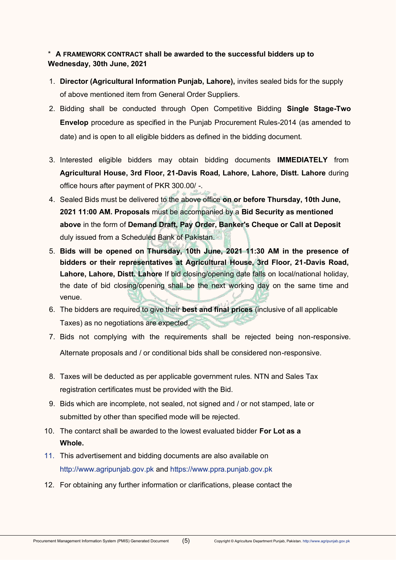## \* **A FRAMEWORK CONTRACT shall be awarded to the successful bidders up to Wednesday, 30th June, 2021**

- 1. **Director (Agricultural Information Punjab, Lahore),** invites sealed bids for the supply of above mentioned item from General Order Suppliers.
- 2. Bidding shall be conducted through Open Competitive Bidding **Single Stage-Two Envelop** procedure as specified in the Punjab Procurement Rules-2014 (as amended to date) and is open to all eligible bidders as defined in the bidding document.
- 3. Interested eligible bidders may obtain bidding documents **IMMEDIATELY** from **Agricultural House, 3rd Floor, 21-Davis Road, Lahore, Lahore, Distt. Lahore** during office hours after payment of PKR 300.00/ -.
- 4. Sealed Bids must be delivered to the above office **on or before Thursday, 10th June, 2021 11:00 AM. Proposals** must be accompanied by a **Bid Security as mentioned above** in the form of **Demand Draft, Pay Order, Banker's Cheque or Call at Deposit**  duly issued from a Scheduled Bank of Pakistan.
- 5. **Bids will be opened on Thursday, 10th June, 2021 11:30 AM in the presence of bidders or their representatives at Agricultural House, 3rd Floor, 21-Davis Road, Lahore, Lahore, Distt. Lahore** If bid closing/opening date falls on local/national holiday, the date of bid closing/opening shall be the next working day on the same time and venue.
- 6. The bidders are required to give their **best and final prices** (inclusive of all applicable Taxes) as no negotiations are expected.
- 7. Bids not complying with the requirements shall be rejected being non-responsive. Alternate proposals and / or conditional bids shall be considered non-responsive.
- 8. Taxes will be deducted as per applicable government rules. NTN and Sales Tax registration certificates must be provided with the Bid.
- 9. Bids which are incomplete, not sealed, not signed and / or not stamped, late or submitted by other than specified mode will be rejected.
- 10. The contarct shall be awarded to the lowest evaluated bidder **For Lot as a Whole.**
- 11. This advertisement and bidding documents are also available on [http://www.agripunjab.gov.pk a](http://www.agripunjab.gov.pk/)nd [https://www.ppra.punjab.gov.pk](https://www.ppra.punjab.gov.pk/)
- 12. For obtaining any further information or clarifications, please contact the